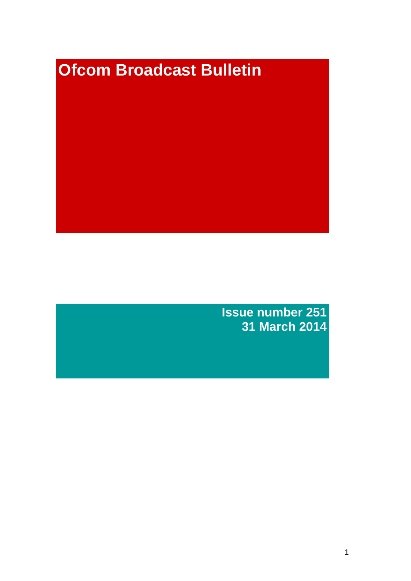# **Ofcom Broadcast Bulletin**

**Issue number 251 31 March 2014**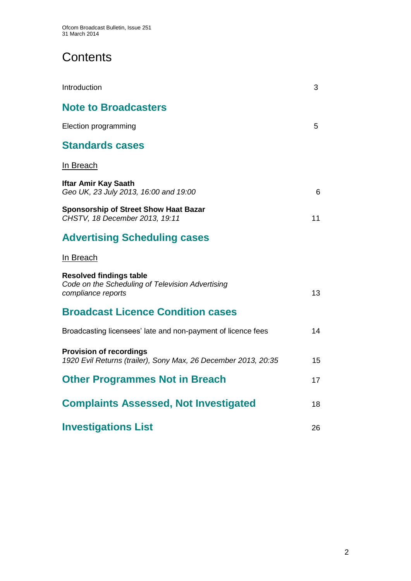# **Contents**

| Introduction                                                                                             | 3  |
|----------------------------------------------------------------------------------------------------------|----|
| <b>Note to Broadcasters</b>                                                                              |    |
| Election programming                                                                                     | 5  |
| <b>Standards cases</b>                                                                                   |    |
| In Breach                                                                                                |    |
| <b>Iftar Amir Kay Saath</b><br>Geo UK, 23 July 2013, 16:00 and 19:00                                     | 6  |
| <b>Sponsorship of Street Show Haat Bazar</b><br>CHSTV, 18 December 2013, 19:11                           | 11 |
| <b>Advertising Scheduling cases</b>                                                                      |    |
| In Breach                                                                                                |    |
| <b>Resolved findings table</b><br>Code on the Scheduling of Television Advertising<br>compliance reports | 13 |
| <b>Broadcast Licence Condition cases</b>                                                                 |    |
| Broadcasting licensees' late and non-payment of licence fees                                             | 14 |
| <b>Provision of recordings</b><br>1920 Evil Returns (trailer), Sony Max, 26 December 2013, 20:35         | 15 |
| <b>Other Programmes Not in Breach</b>                                                                    | 17 |
| <b>Complaints Assessed, Not Investigated</b>                                                             | 18 |
| <b>Investigations List</b>                                                                               | 26 |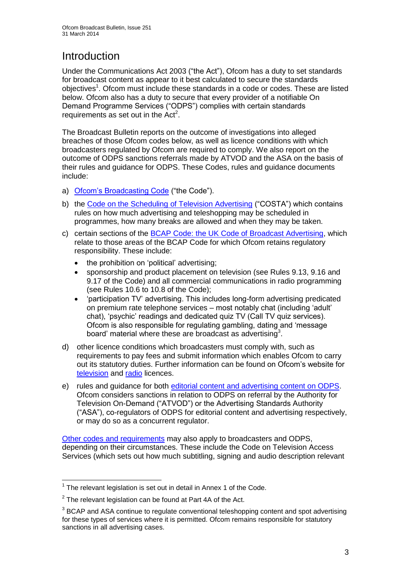# **Introduction**

Under the Communications Act 2003 ("the Act"), Ofcom has a duty to set standards for broadcast content as appear to it best calculated to secure the standards objectives<sup>1</sup>. Ofcom must include these standards in a code or codes. These are listed below. Ofcom also has a duty to secure that every provider of a notifiable On Demand Programme Services ("ODPS") complies with certain standards requirements as set out in the  $Act<sup>2</sup>$ .

The Broadcast Bulletin reports on the outcome of investigations into alleged breaches of those Ofcom codes below, as well as licence conditions with which broadcasters regulated by Ofcom are required to comply. We also report on the outcome of ODPS sanctions referrals made by ATVOD and the ASA on the basis of their rules and guidance for ODPS. These Codes, rules and guidance documents include:

- a) [Ofcom's Broadcasting Code](http://stakeholders.ofcom.org.uk/broadcasting/broadcast-codes/broadcast-code/) ("the Code").
- b) the [Code on the Scheduling of Television Advertising](http://stakeholders.ofcom.org.uk/broadcasting/broadcast-codes/advert-code/) ("COSTA") which contains rules on how much advertising and teleshopping may be scheduled in programmes, how many breaks are allowed and when they may be taken.
- c) certain sections of the [BCAP Code: the UK Code of Broadcast Advertising,](http://www.bcap.org.uk/Advertising-Codes/Broadcast-HTML.aspx) which relate to those areas of the BCAP Code for which Ofcom retains regulatory responsibility. These include:
	- the prohibition on 'political' advertising:
	- sponsorship and product placement on television (see Rules 9.13, 9.16 and 9.17 of the Code) and all commercial communications in radio programming (see Rules 10.6 to 10.8 of the Code);
	- 'participation TV' advertising. This includes long-form advertising predicated on premium rate telephone services – most notably chat (including 'adult' chat), 'psychic' readings and dedicated quiz TV (Call TV quiz services). Ofcom is also responsible for regulating gambling, dating and 'message board' material where these are broadcast as advertising<sup>3</sup>.
- d) other licence conditions which broadcasters must comply with, such as requirements to pay fees and submit information which enables Ofcom to carry out its statutory duties. Further information can be found on Ofcom's website for [television](http://licensing.ofcom.org.uk/tv-broadcast-licences/) and [radio](http://licensing.ofcom.org.uk/radio-broadcast-licensing/) licences.
- e) rules and guidance for both [editorial content and advertising content on ODPS.](http://www.atvod.co.uk/uploads/files/ATVOD_Rules_and_Guidance_Ed_2.0_May_2012.pdf) Ofcom considers sanctions in relation to ODPS on referral by the Authority for Television On-Demand ("ATVOD") or the Advertising Standards Authority ("ASA"), co-regulators of ODPS for editorial content and advertising respectively, or may do so as a concurrent regulator.

[Other codes and requirements](http://stakeholders.ofcom.org.uk/broadcasting/broadcast-codes/) may also apply to broadcasters and ODPS, depending on their circumstances. These include the Code on Television Access Services (which sets out how much subtitling, signing and audio description relevant

<sup>1</sup>  $1$  The relevant legislation is set out in detail in Annex 1 of the Code.

 $2$  The relevant legislation can be found at Part 4A of the Act.

 $3$  BCAP and ASA continue to regulate conventional teleshopping content and spot advertising for these types of services where it is permitted. Ofcom remains responsible for statutory sanctions in all advertising cases.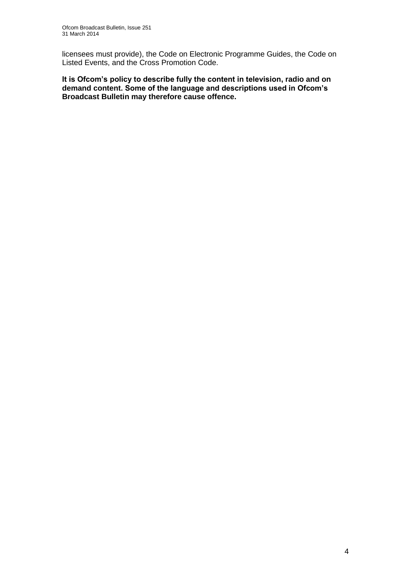licensees must provide), the Code on Electronic Programme Guides, the Code on Listed Events, and the Cross Promotion Code.

**It is Ofcom's policy to describe fully the content in television, radio and on demand content. Some of the language and descriptions used in Ofcom's Broadcast Bulletin may therefore cause offence.**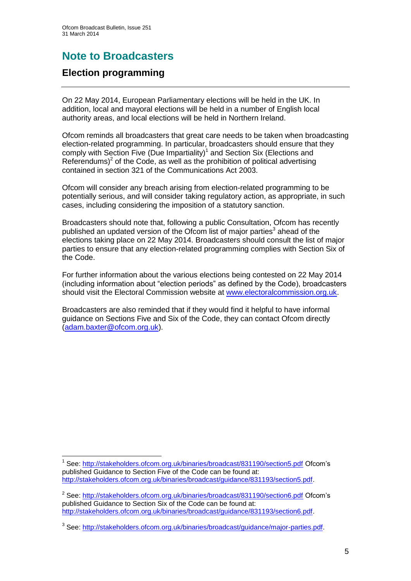# **Note to Broadcasters**

## **Election programming**

1

On 22 May 2014, European Parliamentary elections will be held in the UK. In addition, local and mayoral elections will be held in a number of English local authority areas, and local elections will be held in Northern Ireland.

Ofcom reminds all broadcasters that great care needs to be taken when broadcasting election-related programming. In particular, broadcasters should ensure that they comply with Section Five (Due Impartiality) $1$  and Section Six (Elections and Referendums)<sup>2</sup> of the Code, as well as the prohibition of political advertising contained in section 321 of the Communications Act 2003.

Ofcom will consider any breach arising from election-related programming to be potentially serious, and will consider taking regulatory action, as appropriate, in such cases, including considering the imposition of a statutory sanction.

Broadcasters should note that, following a public Consultation, Ofcom has recently published an updated version of the Ofcom list of major parties<sup>3</sup> ahead of the elections taking place on 22 May 2014. Broadcasters should consult the list of major parties to ensure that any election-related programming complies with Section Six of the Code.

For further information about the various elections being contested on 22 May 2014 (including information about "election periods" as defined by the Code), broadcasters should visit the Electoral Commission website at [www.electoralcommission.org.uk.](http://www.electoralcommission.org.uk/)

Broadcasters are also reminded that if they would find it helpful to have informal guidance on Sections Five and Six of the Code, they can contact Ofcom directly [\(adam.baxter@ofcom.org.uk\)](mailto:adam.baxter@ofcom.org.uk).

<sup>&</sup>lt;sup>1</sup> See:<http://stakeholders.ofcom.org.uk/binaries/broadcast/831190/section5.pdf> Ofcom's published Guidance to Section Five of the Code can be found at: [http://stakeholders.ofcom.org.uk/binaries/broadcast/guidance/831193/section5.pdf.](http://stakeholders.ofcom.org.uk/binaries/broadcast/guidance/831193/section5.pdf)

<sup>&</sup>lt;sup>2</sup> See:<http://stakeholders.ofcom.org.uk/binaries/broadcast/831190/section6.pdf> Ofcom's published Guidance to Section Six of the Code can be found at: [http://stakeholders.ofcom.org.uk/binaries/broadcast/guidance/831193/section6.pdf.](http://stakeholders.ofcom.org.uk/binaries/broadcast/guidance/831193/section6.pdf)

<sup>&</sup>lt;sup>3</sup> See: [http://stakeholders.ofcom.org.uk/binaries/broadcast/guidance/major-parties.pdf.](http://stakeholders.ofcom.org.uk/binaries/broadcast/guidance/major-parties.pdf)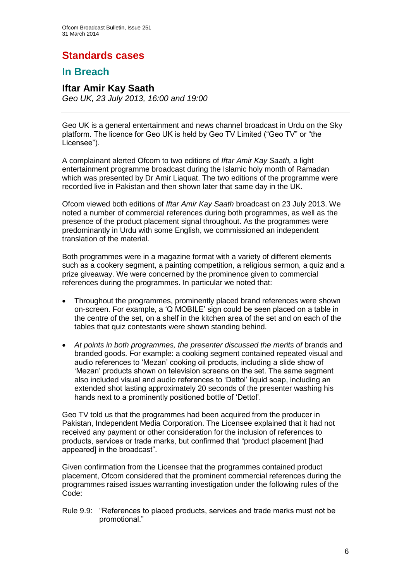# **Standards cases**

## **In Breach**

## **Iftar Amir Kay Saath**

*Geo UK, 23 July 2013, 16:00 and 19:00*

Geo UK is a general entertainment and news channel broadcast in Urdu on the Sky platform. The licence for Geo UK is held by Geo TV Limited ("Geo TV" or "the Licensee").

A complainant alerted Ofcom to two editions of *Iftar Amir Kay Saath,* a light entertainment programme broadcast during the Islamic holy month of Ramadan which was presented by Dr Amir Liaquat. The two editions of the programme were recorded live in Pakistan and then shown later that same day in the UK.

Ofcom viewed both editions of *Iftar Amir Kay Saath* broadcast on 23 July 2013. We noted a number of commercial references during both programmes, as well as the presence of the product placement signal throughout. As the programmes were predominantly in Urdu with some English, we commissioned an independent translation of the material.

Both programmes were in a magazine format with a variety of different elements such as a cookery segment, a painting competition, a religious sermon, a quiz and a prize giveaway. We were concerned by the prominence given to commercial references during the programmes. In particular we noted that:

- Throughout the programmes, prominently placed brand references were shown on-screen. For example, a 'Q MOBILE' sign could be seen placed on a table in the centre of the set, on a shelf in the kitchen area of the set and on each of the tables that quiz contestants were shown standing behind.
- At points in both programmes, the presenter discussed the merits of brands and branded goods. For example: a cooking segment contained repeated visual and audio references to 'Mezan' cooking oil products, including a slide show of 'Mezan' products shown on television screens on the set. The same segment also included visual and audio references to 'Dettol' liquid soap, including an extended shot lasting approximately 20 seconds of the presenter washing his hands next to a prominently positioned bottle of 'Dettol'.

Geo TV told us that the programmes had been acquired from the producer in Pakistan, Independent Media Corporation. The Licensee explained that it had not received any payment or other consideration for the inclusion of references to products, services or trade marks, but confirmed that "product placement [had appeared] in the broadcast".

Given confirmation from the Licensee that the programmes contained product placement, Ofcom considered that the prominent commercial references during the programmes raised issues warranting investigation under the following rules of the Code:

Rule 9.9: "References to placed products, services and trade marks must not be promotional."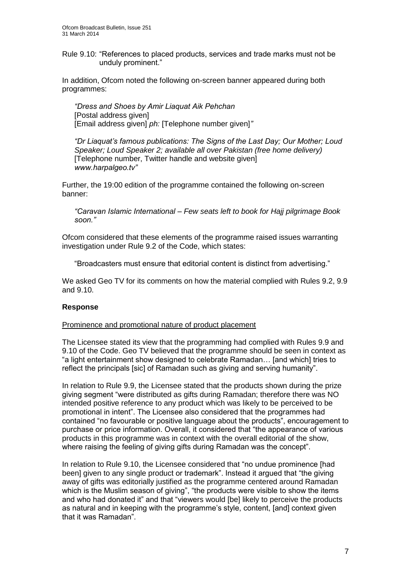Rule 9.10: "References to placed products, services and trade marks must not be unduly prominent."

In addition, Ofcom noted the following on-screen banner appeared during both programmes:

*"Dress and Shoes by Amir Liaquat Aik Pehchan* [Postal address given] [Email address given] *ph:* [Telephone number given]*"* 

*"Dr Liaquat's famous publications: The Signs of the Last Day; Our Mother; Loud Speaker; Loud Speaker 2; available all over Pakistan (free home delivery)*  [Telephone number, Twitter handle and website given] *www.harpalgeo.tv"*

Further, the 19:00 edition of the programme contained the following on-screen banner:

*"Caravan Islamic International – Few seats left to book for Hajj pilgrimage Book soon."* 

Ofcom considered that these elements of the programme raised issues warranting investigation under Rule 9.2 of the Code, which states:

"Broadcasters must ensure that editorial content is distinct from advertising."

We asked Geo TV for its comments on how the material complied with Rules 9.2, 9.9 and 9.10.

## **Response**

#### Prominence and promotional nature of product placement

The Licensee stated its view that the programming had complied with Rules 9.9 and 9.10 of the Code. Geo TV believed that the programme should be seen in context as "a light entertainment show designed to celebrate Ramadan… [and which] tries to reflect the principals [sic] of Ramadan such as giving and serving humanity".

In relation to Rule 9.9, the Licensee stated that the products shown during the prize giving segment "were distributed as gifts during Ramadan; therefore there was NO intended positive reference to any product which was likely to be perceived to be promotional in intent". The Licensee also considered that the programmes had contained "no favourable or positive language about the products", encouragement to purchase or price information. Overall, it considered that "the appearance of various products in this programme was in context with the overall editorial of the show, where raising the feeling of giving gifts during Ramadan was the concept".

In relation to Rule 9.10, the Licensee considered that "no undue prominence [had been] given to any single product or trademark". Instead it argued that "the giving away of gifts was editorially justified as the programme centered around Ramadan which is the Muslim season of giving", "the products were visible to show the items and who had donated it" and that "viewers would [be] likely to perceive the products as natural and in keeping with the programme's style, content, [and] context given that it was Ramadan".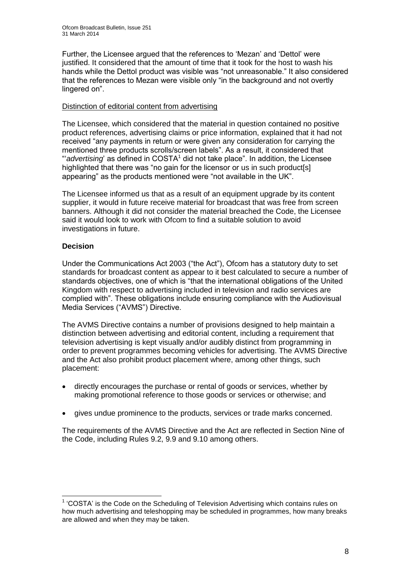Further, the Licensee argued that the references to 'Mezan' and 'Dettol' were justified. It considered that the amount of time that it took for the host to wash his hands while the Dettol product was visible was "not unreasonable." It also considered that the references to Mezan were visible only "in the background and not overtly lingered on".

## Distinction of editorial content from advertising

The Licensee, which considered that the material in question contained no positive product references, advertising claims or price information, explained that it had not received "any payments in return or were given any consideration for carrying the mentioned three products scrolls/screen labels". As a result, it considered that "advertising' as defined in COSTA<sup>1</sup> did not take place". In addition, the Licensee highlighted that there was "no gain for the licensor or us in such product[s] appearing" as the products mentioned were "not available in the UK".

The Licensee informed us that as a result of an equipment upgrade by its content supplier, it would in future receive material for broadcast that was free from screen banners. Although it did not consider the material breached the Code, the Licensee said it would look to work with Ofcom to find a suitable solution to avoid investigations in future.

## **Decision**

1

Under the Communications Act 2003 ("the Act"), Ofcom has a statutory duty to set standards for broadcast content as appear to it best calculated to secure a number of standards objectives, one of which is "that the international obligations of the United Kingdom with respect to advertising included in television and radio services are complied with". These obligations include ensuring compliance with the Audiovisual Media Services ("AVMS") Directive.

The AVMS Directive contains a number of provisions designed to help maintain a distinction between advertising and editorial content, including a requirement that television advertising is kept visually and/or audibly distinct from programming in order to prevent programmes becoming vehicles for advertising. The AVMS Directive and the Act also prohibit product placement where, among other things, such placement:

- directly encourages the purchase or rental of goods or services, whether by making promotional reference to those goods or services or otherwise; and
- gives undue prominence to the products, services or trade marks concerned.

The requirements of the AVMS Directive and the Act are reflected in Section Nine of the Code, including Rules 9.2, 9.9 and 9.10 among others.

<sup>&</sup>lt;sup>1</sup> 'COSTA' is the Code on the Scheduling of Television Advertising which contains rules on how much advertising and teleshopping may be scheduled in programmes, how many breaks are allowed and when they may be taken.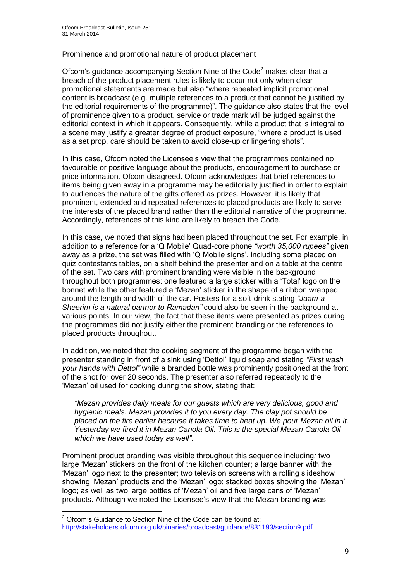#### Prominence and promotional nature of product placement

Ofcom's quidance accompanying Section Nine of the Code<sup>2</sup> makes clear that a breach of the product placement rules is likely to occur not only when clear promotional statements are made but also "where repeated implicit promotional content is broadcast (e.g. multiple references to a product that cannot be justified by the editorial requirements of the programme)". The guidance also states that the level of prominence given to a product, service or trade mark will be judged against the editorial context in which it appears. Consequently, while a product that is integral to a scene may justify a greater degree of product exposure, "where a product is used as a set prop, care should be taken to avoid close-up or lingering shots".

In this case, Ofcom noted the Licensee's view that the programmes contained no favourable or positive language about the products, encouragement to purchase or price information. Ofcom disagreed. Ofcom acknowledges that brief references to items being given away in a programme may be editorially justified in order to explain to audiences the nature of the gifts offered as prizes. However, it is likely that prominent, extended and repeated references to placed products are likely to serve the interests of the placed brand rather than the editorial narrative of the programme. Accordingly, references of this kind are likely to breach the Code.

In this case, we noted that signs had been placed throughout the set. For example, in addition to a reference for a 'Q Mobile' Quad-core phone *"worth 35,000 rupees"* given away as a prize, the set was filled with 'Q Mobile signs', including some placed on quiz contestants tables, on a shelf behind the presenter and on a table at the centre of the set. Two cars with prominent branding were visible in the background throughout both programmes: one featured a large sticker with a 'Total' logo on the bonnet while the other featured a 'Mezan' sticker in the shape of a ribbon wrapped around the length and width of the car. Posters for a soft-drink stating *"Jaam-a-Sheerim is a natural partner to Ramadan"* could also be seen in the background at various points. In our view, the fact that these items were presented as prizes during the programmes did not justify either the prominent branding or the references to placed products throughout.

In addition, we noted that the cooking segment of the programme began with the presenter standing in front of a sink using 'Dettol' liquid soap and stating *"First wash your hands with Dettol"* while a branded bottle was prominently positioned at the front of the shot for over 20 seconds. The presenter also referred repeatedly to the 'Mezan' oil used for cooking during the show, stating that:

*"Mezan provides daily meals for our guests which are very delicious, good and hygienic meals. Mezan provides it to you every day. The clay pot should be placed on the fire earlier because it takes time to heat up. We pour Mezan oil in it. Yesterday we fired it in Mezan Canola Oil. This is the special Mezan Canola Oil which we have used today as well"*.

Prominent product branding was visible throughout this sequence including*:* two large 'Mezan' stickers on the front of the kitchen counter; a large banner with the 'Mezan' logo next to the presenter; two television screens with a rolling slideshow showing 'Mezan' products and the 'Mezan' logo; stacked boxes showing the 'Mezan' logo; as well as two large bottles of 'Mezan' oil and five large cans of 'Mezan' products. Although we noted the Licensee's view that the Mezan branding was

1

 $2$  Ofcom's Guidance to Section Nine of the Code can be found at: [http://stakeholders.ofcom.org.uk/binaries/broadcast/guidance/831193/section9.pdf.](http://stakeholders.ofcom.org.uk/binaries/broadcast/guidance/831193/section9.pdf)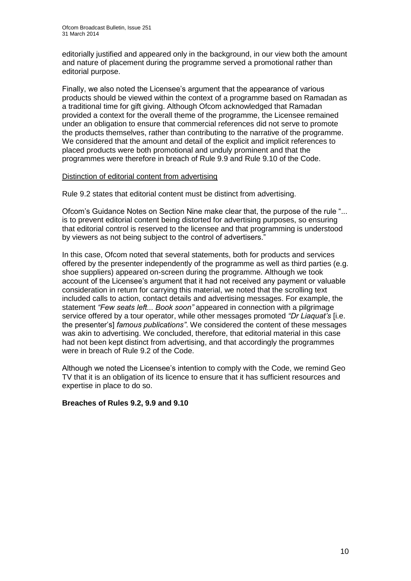editorially justified and appeared only in the background, in our view both the amount and nature of placement during the programme served a promotional rather than editorial purpose.

Finally, we also noted the Licensee's argument that the appearance of various products should be viewed within the context of a programme based on Ramadan as a traditional time for gift giving. Although Ofcom acknowledged that Ramadan provided a context for the overall theme of the programme, the Licensee remained under an obligation to ensure that commercial references did not serve to promote the products themselves, rather than contributing to the narrative of the programme. We considered that the amount and detail of the explicit and implicit references to placed products were both promotional and unduly prominent and that the programmes were therefore in breach of Rule 9.9 and Rule 9.10 of the Code.

#### Distinction of editorial content from advertising

Rule 9.2 states that editorial content must be distinct from advertising.

Ofcom's Guidance Notes on Section Nine make clear that, the purpose of the rule "... is to prevent editorial content being distorted for advertising purposes, so ensuring that editorial control is reserved to the licensee and that programming is understood by viewers as not being subject to the control of advertisers."

In this case, Ofcom noted that several statements, both for products and services offered by the presenter independently of the programme as well as third parties (e.g. shoe suppliers) appeared on-screen during the programme. Although we took account of the Licensee's argument that it had not received any payment or valuable consideration in return for carrying this material, we noted that the scrolling text included calls to action, contact details and advertising messages. For example, the statement *"Few seats left... Book soon"* appeared in connection with a pilgrimage service offered by a tour operator, while other messages promoted *"Dr Liaquat's* [i.e. the presenter's] *famous publications"*. We considered the content of these messages was akin to advertising. We concluded, therefore, that editorial material in this case had not been kept distinct from advertising, and that accordingly the programmes were in breach of Rule 9.2 of the Code.

Although we noted the Licensee's intention to comply with the Code, we remind Geo TV that it is an obligation of its licence to ensure that it has sufficient resources and expertise in place to do so.

## **Breaches of Rules 9.2, 9.9 and 9.10**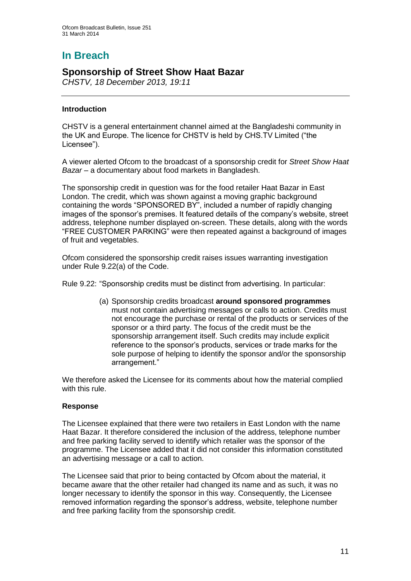# **In Breach**

## **Sponsorship of Street Show Haat Bazar**

*CHSTV, 18 December 2013, 19:11*

## **Introduction**

CHSTV is a general entertainment channel aimed at the Bangladeshi community in the UK and Europe. The licence for CHSTV is held by CHS.TV Limited ("the Licensee").

A viewer alerted Ofcom to the broadcast of a sponsorship credit for *Street Show Haat Bazar* – a documentary about food markets in Bangladesh.

The sponsorship credit in question was for the food retailer Haat Bazar in East London. The credit, which was shown against a moving graphic background containing the words "SPONSORED BY", included a number of rapidly changing images of the sponsor's premises. It featured details of the company's website, street address, telephone number displayed on-screen. These details, along with the words "FREE CUSTOMER PARKING" were then repeated against a background of images of fruit and vegetables.

Ofcom considered the sponsorship credit raises issues warranting investigation under Rule 9.22(a) of the Code.

Rule 9.22: "Sponsorship credits must be distinct from advertising. In particular:

(a) Sponsorship credits broadcast **around sponsored programmes** must not contain advertising messages or calls to action. Credits must not encourage the purchase or rental of the products or services of the sponsor or a third party. The focus of the credit must be the sponsorship arrangement itself. Such credits may include explicit reference to the sponsor's products, services or trade marks for the sole purpose of helping to identify the sponsor and/or the sponsorship arrangement."

We therefore asked the Licensee for its comments about how the material complied with this rule.

## **Response**

The Licensee explained that there were two retailers in East London with the name Haat Bazar. It therefore considered the inclusion of the address, telephone number and free parking facility served to identify which retailer was the sponsor of the programme. The Licensee added that it did not consider this information constituted an advertising message or a call to action.

The Licensee said that prior to being contacted by Ofcom about the material, it became aware that the other retailer had changed its name and as such, it was no longer necessary to identify the sponsor in this way. Consequently, the Licensee removed information regarding the sponsor's address, website, telephone number and free parking facility from the sponsorship credit.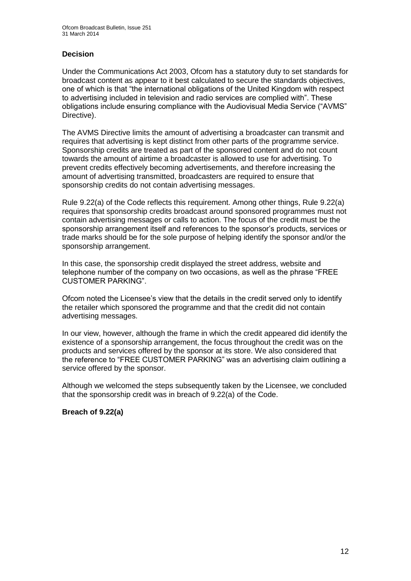## **Decision**

Under the Communications Act 2003, Ofcom has a statutory duty to set standards for broadcast content as appear to it best calculated to secure the standards objectives, one of which is that "the international obligations of the United Kingdom with respect to advertising included in television and radio services are complied with". These obligations include ensuring compliance with the Audiovisual Media Service ("AVMS" Directive).

The AVMS Directive limits the amount of advertising a broadcaster can transmit and requires that advertising is kept distinct from other parts of the programme service. Sponsorship credits are treated as part of the sponsored content and do not count towards the amount of airtime a broadcaster is allowed to use for advertising. To prevent credits effectively becoming advertisements, and therefore increasing the amount of advertising transmitted, broadcasters are required to ensure that sponsorship credits do not contain advertising messages.

Rule 9.22(a) of the Code reflects this requirement. Among other things, Rule 9.22(a) requires that sponsorship credits broadcast around sponsored programmes must not contain advertising messages or calls to action. The focus of the credit must be the sponsorship arrangement itself and references to the sponsor's products, services or trade marks should be for the sole purpose of helping identify the sponsor and/or the sponsorship arrangement.

In this case, the sponsorship credit displayed the street address, website and telephone number of the company on two occasions, as well as the phrase "FREE CUSTOMER PARKING".

Ofcom noted the Licensee's view that the details in the credit served only to identify the retailer which sponsored the programme and that the credit did not contain advertising messages.

In our view, however, although the frame in which the credit appeared did identify the existence of a sponsorship arrangement, the focus throughout the credit was on the products and services offered by the sponsor at its store. We also considered that the reference to "FREE CUSTOMER PARKING" was an advertising claim outlining a service offered by the sponsor.

Although we welcomed the steps subsequently taken by the Licensee, we concluded that the sponsorship credit was in breach of 9.22(a) of the Code.

## **Breach of 9.22(a)**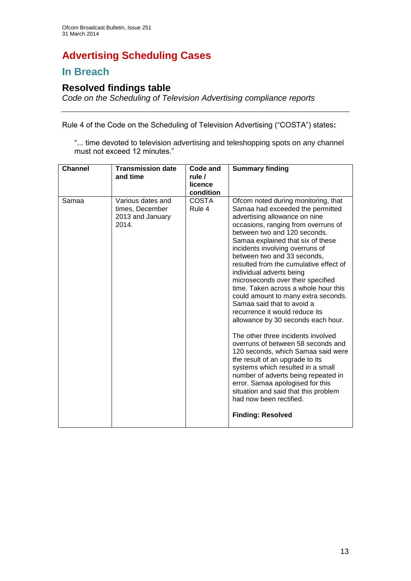# **Advertising Scheduling Cases**

## **In Breach**

## **Resolved findings table**

*Code on the Scheduling of Television Advertising compliance reports*

Rule 4 of the Code on the Scheduling of Television Advertising ("COSTA") states**:**

"... time devoted to television advertising and teleshopping spots on any channel must not exceed 12 minutes."

| <b>Channel</b> | <b>Transmission date</b><br>and time                              | Code and<br>rule /<br>licence<br>condition | <b>Summary finding</b>                                                                                                                                                                                                                                                                                                                                                                                                                                                                                                                                                                                                                                                                                                                                                                                                                                                                                                                                     |
|----------------|-------------------------------------------------------------------|--------------------------------------------|------------------------------------------------------------------------------------------------------------------------------------------------------------------------------------------------------------------------------------------------------------------------------------------------------------------------------------------------------------------------------------------------------------------------------------------------------------------------------------------------------------------------------------------------------------------------------------------------------------------------------------------------------------------------------------------------------------------------------------------------------------------------------------------------------------------------------------------------------------------------------------------------------------------------------------------------------------|
| Samaa          | Various dates and<br>times, December<br>2013 and January<br>2014. | <b>COSTA</b><br>Rule 4                     | Ofcom noted during monitoring, that<br>Samaa had exceeded the permitted<br>advertising allowance on nine<br>occasions, ranging from overruns of<br>between two and 120 seconds.<br>Samaa explained that six of these<br>incidents involving overruns of<br>between two and 33 seconds,<br>resulted from the cumulative effect of<br>individual adverts being<br>microseconds over their specified<br>time. Taken across a whole hour this<br>could amount to many extra seconds.<br>Samaa said that to avoid a<br>recurrence it would reduce its<br>allowance by 30 seconds each hour.<br>The other three incidents involved<br>overruns of between 58 seconds and<br>120 seconds, which Samaa said were<br>the result of an upgrade to its<br>systems which resulted in a small<br>number of adverts being repeated in<br>error. Samaa apologised for this<br>situation and said that this problem<br>had now been rectified.<br><b>Finding: Resolved</b> |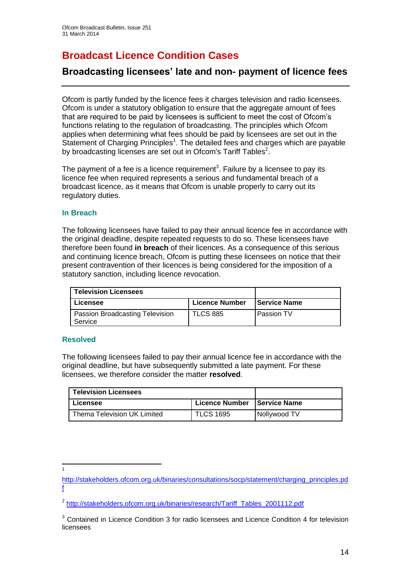# **Broadcast Licence Condition Cases**

## **Broadcasting licensees' late and non- payment of licence fees**

Ofcom is partly funded by the licence fees it charges television and radio licensees. Ofcom is under a statutory obligation to ensure that the aggregate amount of fees that are required to be paid by licensees is sufficient to meet the cost of Ofcom's functions relating to the regulation of broadcasting. The principles which Ofcom applies when determining what fees should be paid by licensees are set out in the Statement of Charging Principles<sup>1</sup>. The detailed fees and charges which are payable by broadcasting licenses are set out in Ofcom's Tariff Tables<sup>2</sup>.

The payment of a fee is a licence requirement<sup>3</sup>. Failure by a licensee to pay its licence fee when required represents a serious and fundamental breach of a broadcast licence, as it means that Ofcom is unable properly to carry out its regulatory duties.

## **In Breach**

The following licensees have failed to pay their annual licence fee in accordance with the original deadline, despite repeated requests to do so. These licensees have therefore been found **in breach** of their licences. As a consequence of this serious and continuing licence breach, Ofcom is putting these licensees on notice that their present contravention of their licences is being considered for the imposition of a statutory sanction, including licence revocation.

| <b>Television Licensees</b>                |                       |                     |
|--------------------------------------------|-----------------------|---------------------|
| Licensee                                   | <b>Licence Number</b> | <b>Service Name</b> |
| Passion Broadcasting Television<br>Service | <b>TLCS 885</b>       | Passion TV          |

#### **Resolved**

The following licensees failed to pay their annual licence fee in accordance with the original deadline, but have subsequently submitted a late payment. For these licensees, we therefore consider the matter **resolved**.

| <b>Television Licensees</b> |                  |                     |
|-----------------------------|------------------|---------------------|
| Licensee                    | Licence Number   | <b>Service Name</b> |
| Thema Television UK Limited | <b>TLCS 1695</b> | <b>Nollywood TV</b> |

 $\frac{1}{1}$ 

[http://stakeholders.ofcom.org.uk/binaries/consultations/socp/statement/charging\\_principles.pd](http://stakeholders.ofcom.org.uk/binaries/consultations/socp/statement/charging_principles.pdf) [f](http://stakeholders.ofcom.org.uk/binaries/consultations/socp/statement/charging_principles.pdf)

<sup>&</sup>lt;sup>2</sup> [http://stakeholders.ofcom.org.uk/binaries/research/Tariff\\_Tables\\_2001112.pdf](http://stakeholders.ofcom.org.uk/binaries/research/Tariff_Tables_2001112.pdf)

<sup>&</sup>lt;sup>3</sup> Contained in Licence Condition 3 for radio licensees and Licence Condition 4 for television licensees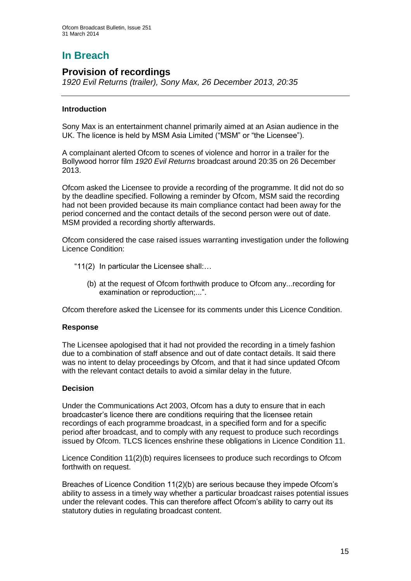# **In Breach**

## **Provision of recordings**

*1920 Evil Returns (trailer), Sony Max, 26 December 2013, 20:35*

## **Introduction**

Sony Max is an entertainment channel primarily aimed at an Asian audience in the UK. The licence is held by MSM Asia Limited ("MSM" or "the Licensee").

A complainant alerted Ofcom to scenes of violence and horror in a trailer for the Bollywood horror film *1920 Evil Returns* broadcast around 20:35 on 26 December 2013.

Ofcom asked the Licensee to provide a recording of the programme. It did not do so by the deadline specified. Following a reminder by Ofcom, MSM said the recording had not been provided because its main compliance contact had been away for the period concerned and the contact details of the second person were out of date. MSM provided a recording shortly afterwards.

Ofcom considered the case raised issues warranting investigation under the following Licence Condition:

- "11(2) In particular the Licensee shall:…
	- (b) at the request of Ofcom forthwith produce to Ofcom any...recording for examination or reproduction;...".

Ofcom therefore asked the Licensee for its comments under this Licence Condition.

## **Response**

The Licensee apologised that it had not provided the recording in a timely fashion due to a combination of staff absence and out of date contact details. It said there was no intent to delay proceedings by Ofcom, and that it had since updated Ofcom with the relevant contact details to avoid a similar delay in the future.

## **Decision**

Under the Communications Act 2003, Ofcom has a duty to ensure that in each broadcaster's licence there are conditions requiring that the licensee retain recordings of each programme broadcast, in a specified form and for a specific period after broadcast, and to comply with any request to produce such recordings issued by Ofcom. TLCS licences enshrine these obligations in Licence Condition 11.

Licence Condition 11(2)(b) requires licensees to produce such recordings to Ofcom forthwith on request.

Breaches of Licence Condition 11(2)(b) are serious because they impede Ofcom's ability to assess in a timely way whether a particular broadcast raises potential issues under the relevant codes. This can therefore affect Ofcom's ability to carry out its statutory duties in regulating broadcast content.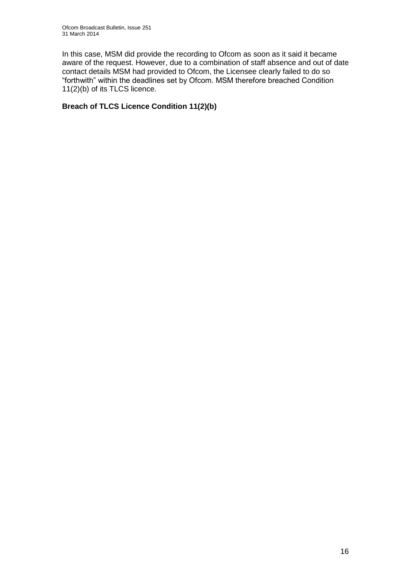In this case, MSM did provide the recording to Ofcom as soon as it said it became aware of the request. However, due to a combination of staff absence and out of date contact details MSM had provided to Ofcom, the Licensee clearly failed to do so "forthwith" within the deadlines set by Ofcom. MSM therefore breached Condition 11(2)(b) of its TLCS licence.

## **Breach of TLCS Licence Condition 11(2)(b)**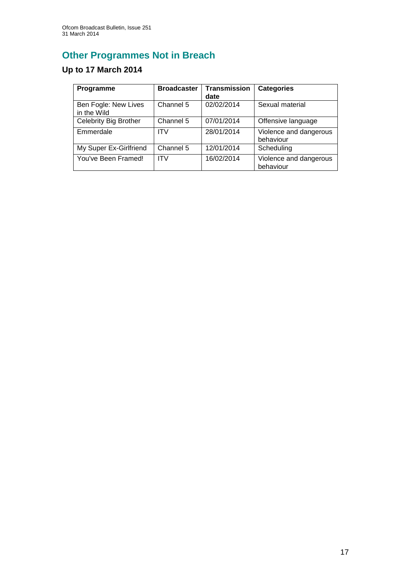# **Other Programmes Not in Breach**

# **Up to 17 March 2014**

| Programme                           | <b>Broadcaster</b> | <b>Transmission</b><br>date | <b>Categories</b>                   |
|-------------------------------------|--------------------|-----------------------------|-------------------------------------|
| Ben Fogle: New Lives<br>in the Wild | Channel 5          | 02/02/2014                  | Sexual material                     |
| Celebrity Big Brother               | Channel 5          | 07/01/2014                  | Offensive language                  |
| Emmerdale                           | ITV                | 28/01/2014                  | Violence and dangerous<br>behaviour |
| My Super Ex-Girlfriend              | Channel 5          | 12/01/2014                  | Scheduling                          |
| You've Been Framed!                 | <b>ITV</b>         | 16/02/2014                  | Violence and dangerous<br>behaviour |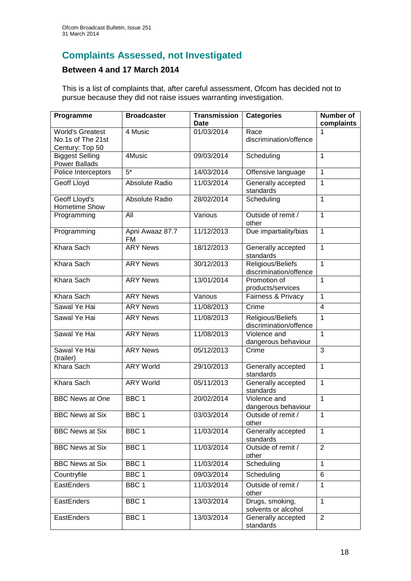# **Complaints Assessed, not Investigated**

## **Between 4 and 17 March 2014**

This is a list of complaints that, after careful assessment, Ofcom has decided not to pursue because they did not raise issues warranting investigation.

| Programme                                                       | <b>Broadcaster</b>           | <b>Transmission</b><br>Date | <b>Categories</b>                           | <b>Number of</b><br>complaints |
|-----------------------------------------------------------------|------------------------------|-----------------------------|---------------------------------------------|--------------------------------|
| <b>World's Greatest</b><br>No.1s of The 21st<br>Century: Top 50 | 4 Music                      | 01/03/2014                  | Race<br>discrimination/offence              | 1                              |
| <b>Biggest Selling</b><br><b>Power Ballads</b>                  | 4Music                       | 09/03/2014                  | Scheduling                                  | 1                              |
| Police Interceptors                                             | $5*$                         | 14/03/2014                  | Offensive language                          | $\mathbf{1}$                   |
| <b>Geoff Lloyd</b>                                              | Absolute Radio               | 11/03/2014                  | Generally accepted<br>standards             | 1                              |
| Geoff Lloyd's<br><b>Hometime Show</b>                           | Absolute Radio               | 28/02/2014                  | Scheduling                                  | 1                              |
| Programming                                                     | All                          | Various                     | Outside of remit /<br>other                 | $\mathbf{1}$                   |
| Programming                                                     | Apni Awaaz 87.7<br><b>FM</b> | 11/12/2013                  | Due impartiality/bias                       | $\mathbf{1}$                   |
| Khara Sach                                                      | <b>ARY News</b>              | 18/12/2013                  | Generally accepted<br>standards             | 1                              |
| Khara Sach                                                      | <b>ARY News</b>              | 30/12/2013                  | Religious/Beliefs<br>discrimination/offence | $\mathbf{1}$                   |
| Khara Sach                                                      | <b>ARY News</b>              | 13/01/2014                  | Promotion of<br>products/services           | $\mathbf{1}$                   |
| Khara Sach                                                      | <b>ARY News</b>              | Various                     | Fairness & Privacy                          | $\mathbf{1}$                   |
| Sawal Ye Hai                                                    | <b>ARY News</b>              | 11/08/2013                  | Crime                                       | $\overline{4}$                 |
| Sawal Ye Hai                                                    | <b>ARY News</b>              | 11/08/2013                  | Religious/Beliefs<br>discrimination/offence | $\overline{1}$                 |
| Sawal Ye Hai                                                    | <b>ARY News</b>              | 11/08/2013                  | Violence and<br>dangerous behaviour         | 1                              |
| Sawal Ye Hai<br>(trailer)                                       | <b>ARY News</b>              | 05/12/2013                  | Crime                                       | $\overline{3}$                 |
| Khara Sach                                                      | <b>ARY World</b>             | 29/10/2013                  | Generally accepted<br>standards             | 1                              |
| Khara Sach                                                      | <b>ARY World</b>             | 05/11/2013                  | Generally accepted<br>standards             | 1                              |
| <b>BBC News at One</b>                                          | BBC <sub>1</sub>             | 20/02/2014                  | Violence and<br>dangerous behaviour         | $\overline{1}$                 |
| <b>BBC News at Six</b>                                          | BBC <sub>1</sub>             | 03/03/2014                  | Outside of remit /<br>other                 | 1                              |
| <b>BBC News at Six</b>                                          | BBC <sub>1</sub>             | 11/03/2014                  | Generally accepted<br>standards             | $\mathbf{1}$                   |
| <b>BBC News at Six</b>                                          | BBC <sub>1</sub>             | 11/03/2014                  | Outside of remit /<br>other                 | $\overline{2}$                 |
| <b>BBC News at Six</b>                                          | BBC 1                        | 11/03/2014                  | Scheduling                                  | $\mathbf{1}$                   |
| Countryfile                                                     | BBC <sub>1</sub>             | 09/03/2014                  | Scheduling                                  | 6                              |
| EastEnders                                                      | BBC <sub>1</sub>             | 11/03/2014                  | Outside of remit /<br>other                 | $\mathbf{1}$                   |
| EastEnders                                                      | BBC <sub>1</sub>             | 13/03/2014                  | Drugs, smoking,<br>solvents or alcohol      | $\mathbf{1}$                   |
| EastEnders                                                      | BBC 1                        | 13/03/2014                  | Generally accepted<br>standards             | $\overline{2}$                 |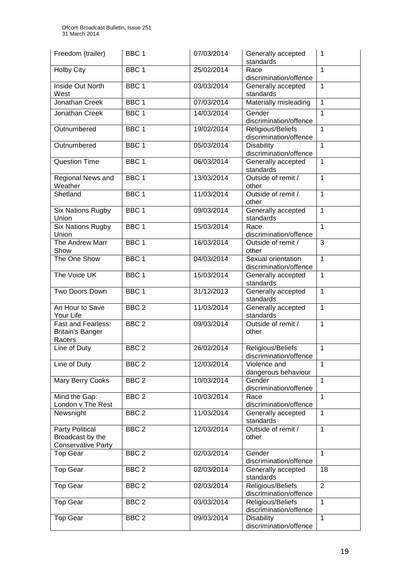| Freedom (trailer)                                                       | BBC <sub>1</sub> | 07/03/2014 | Generally accepted<br>standards              | 1              |
|-------------------------------------------------------------------------|------------------|------------|----------------------------------------------|----------------|
| <b>Holby City</b>                                                       | BBC <sub>1</sub> | 25/02/2014 | Race<br>discrimination/offence               | $\mathbf{1}$   |
| Inside Out North<br>West                                                | BBC <sub>1</sub> | 03/03/2014 | Generally accepted<br>standards              | 1              |
| Jonathan Creek                                                          | BBC <sub>1</sub> | 07/03/2014 | Materially misleading                        | $\mathbf{1}$   |
| Jonathan Creek                                                          | BBC <sub>1</sub> | 14/03/2014 | Gender<br>discrimination/offence             | $\mathbf{1}$   |
| Outnumbered                                                             | BBC <sub>1</sub> | 19/02/2014 | Religious/Beliefs<br>discrimination/offence  | 1              |
| Outnumbered                                                             | BBC <sub>1</sub> | 05/03/2014 | <b>Disability</b><br>discrimination/offence  | 1              |
| <b>Question Time</b>                                                    | BBC <sub>1</sub> | 06/03/2014 | Generally accepted<br>standards              | 1              |
| Regional News and<br>Weather                                            | BBC <sub>1</sub> | 13/03/2014 | Outside of remit /<br>other                  | $\mathbf{1}$   |
| Shetland                                                                | BBC <sub>1</sub> | 11/03/2014 | Outside of remit /<br>other                  | 1              |
| <b>Six Nations Rugby</b><br>Union                                       | BBC <sub>1</sub> | 09/03/2014 | Generally accepted<br>standards              | 1              |
| <b>Six Nations Rugby</b><br>Union                                       | BBC <sub>1</sub> | 15/03/2014 | Race<br>discrimination/offence               | $\mathbf{1}$   |
| The Andrew Marr<br>Show                                                 | BBC <sub>1</sub> | 16/03/2014 | Outside of remit /<br>other                  | 3              |
| The One Show                                                            | BBC <sub>1</sub> | 04/03/2014 | Sexual orientation<br>discrimination/offence | $\mathbf{1}$   |
| The Voice UK                                                            | BBC <sub>1</sub> | 15/03/2014 | Generally accepted<br>standards              | 1              |
| Two Doors Down                                                          | BBC <sub>1</sub> | 31/12/2013 | Generally accepted<br>standards              | $\mathbf{1}$   |
| An Hour to Save<br>Your Life                                            | BBC <sub>2</sub> | 11/03/2014 | Generally accepted<br>standards              | $\mathbf{1}$   |
| <b>Fast and Fearless:</b><br><b>Britain's Banger</b><br>Racers          | BBC <sub>2</sub> | 09/03/2014 | Outside of remit /<br>other                  | $\mathbf{1}$   |
| Line of Duty                                                            | BBC <sub>2</sub> | 26/02/2014 | Religious/Beliefs<br>discrimination/offence  | 1              |
| Line of Duty                                                            | BBC <sub>2</sub> | 12/03/2014 | Violence and<br>dangerous behaviour          | $\mathbf{1}$   |
| Mary Berry Cooks                                                        | BBC <sub>2</sub> | 10/03/2014 | Gender<br>discrimination/offence             | 1              |
| Mind the Gap:<br>London v The Rest                                      | BBC <sub>2</sub> | 10/03/2014 | Race<br>discrimination/offence               | 1              |
| Newsnight                                                               | BBC <sub>2</sub> | 11/03/2014 | Generally accepted<br>standards              | 1              |
| <b>Party Political</b><br>Broadcast by the<br><b>Conservative Party</b> | BBC <sub>2</sub> | 12/03/2014 | Outside of remit /<br>other                  | 1              |
| <b>Top Gear</b>                                                         | BBC <sub>2</sub> | 02/03/2014 | Gender<br>discrimination/offence             | $\mathbf{1}$   |
| <b>Top Gear</b>                                                         | BBC <sub>2</sub> | 02/03/2014 | Generally accepted<br>standards              | 18             |
| <b>Top Gear</b>                                                         | BBC <sub>2</sub> | 02/03/2014 | Religious/Beliefs<br>discrimination/offence  | $\overline{2}$ |
| <b>Top Gear</b>                                                         | BBC <sub>2</sub> | 03/03/2014 | Religious/Beliefs<br>discrimination/offence  | $\mathbf{1}$   |
| <b>Top Gear</b>                                                         | BBC <sub>2</sub> | 09/03/2014 | <b>Disability</b><br>discrimination/offence  | 1              |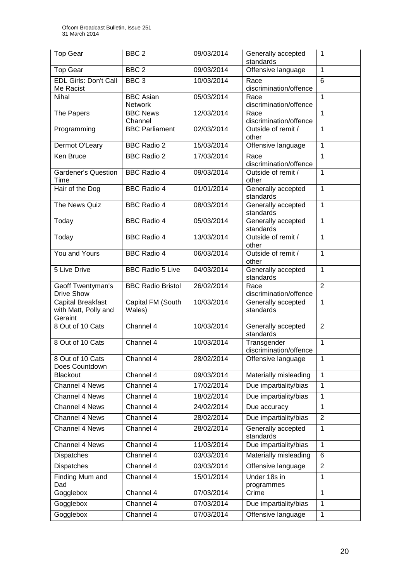| <b>Top Gear</b>                                      | BBC <sub>2</sub>            | 09/03/2014 | Generally accepted<br>standards       | 1              |
|------------------------------------------------------|-----------------------------|------------|---------------------------------------|----------------|
| <b>Top Gear</b>                                      | BBC <sub>2</sub>            | 09/03/2014 | Offensive language                    | 1              |
| <b>EDL Girls: Don't Call</b><br>Me Racist            | BBC <sub>3</sub>            | 10/03/2014 | Race<br>discrimination/offence        | $\overline{6}$ |
| Nihal                                                | <b>BBC Asian</b><br>Network | 05/03/2014 | Race<br>discrimination/offence        | 1              |
| The Papers                                           | <b>BBC News</b><br>Channel  | 12/03/2014 | Race<br>discrimination/offence        | 1              |
| Programming                                          | <b>BBC Parliament</b>       | 02/03/2014 | Outside of remit /<br>other           | 1              |
| Dermot O'Leary                                       | <b>BBC Radio 2</b>          | 15/03/2014 | Offensive language                    | 1              |
| Ken Bruce                                            | <b>BBC Radio 2</b>          | 17/03/2014 | Race<br>discrimination/offence        | 1              |
| <b>Gardener's Question</b><br>Time                   | <b>BBC Radio 4</b>          | 09/03/2014 | Outside of remit /<br>other           | 1              |
| Hair of the Dog                                      | <b>BBC Radio 4</b>          | 01/01/2014 | Generally accepted<br>standards       | 1              |
| The News Quiz                                        | <b>BBC Radio 4</b>          | 08/03/2014 | Generally accepted<br>standards       | 1              |
| Today                                                | <b>BBC Radio 4</b>          | 05/03/2014 | Generally accepted<br>standards       | 1              |
| Today                                                | <b>BBC Radio 4</b>          | 13/03/2014 | Outside of remit /<br>other           | $\mathbf{1}$   |
| You and Yours                                        | <b>BBC Radio 4</b>          | 06/03/2014 | Outside of remit /<br>other           | $\mathbf{1}$   |
| 5 Live Drive                                         | <b>BBC Radio 5 Live</b>     | 04/03/2014 | Generally accepted<br>standards       | 1              |
| Geoff Twentyman's<br><b>Drive Show</b>               | <b>BBC Radio Bristol</b>    | 26/02/2014 | Race<br>discrimination/offence        | $\overline{2}$ |
| Capital Breakfast<br>with Matt, Polly and<br>Geraint | Capital FM (South<br>Wales) | 10/03/2014 | Generally accepted<br>standards       | 1              |
| 8 Out of 10 Cats                                     | Channel 4                   | 10/03/2014 | Generally accepted<br>standards       | $\overline{2}$ |
| 8 Out of 10 Cats                                     | Channel 4                   | 10/03/2014 | Transgender<br>discrimination/offence | 1              |
| 8 Out of 10 Cats                                     | Channel 4                   | 28/02/2014 | Offensive language                    | 1              |
| Does Countdown<br><b>Blackout</b>                    | Channel 4                   | 09/03/2014 | Materially misleading                 | 1              |
| Channel 4 News                                       | Channel 4                   | 17/02/2014 | Due impartiality/bias                 | $\mathbf{1}$   |
| <b>Channel 4 News</b>                                | Channel 4                   | 18/02/2014 | Due impartiality/bias                 | $\mathbf{1}$   |
| Channel 4 News                                       | Channel $4$                 | 24/02/2014 | Due accuracy                          | $\mathbf{1}$   |
| Channel 4 News                                       | Channel 4                   | 28/02/2014 | Due impartiality/bias                 | $\overline{2}$ |
| Channel 4 News                                       | Channel 4                   | 28/02/2014 | Generally accepted                    | 1              |
|                                                      |                             |            | standards                             |                |
| Channel 4 News                                       | Channel 4                   | 11/03/2014 | Due impartiality/bias                 | $\mathbf{1}$   |
| Dispatches                                           | Channel 4                   | 03/03/2014 | Materially misleading                 | 6              |
| <b>Dispatches</b>                                    | Channel 4                   | 03/03/2014 | Offensive language                    | $\overline{2}$ |
| Finding Mum and                                      | Channel 4                   | 15/01/2014 | Under 18s in                          | 1              |
| Dad<br>Gogglebox                                     | Channel 4                   | 07/03/2014 | programmes<br>Crime                   | $\mathbf{1}$   |
| Gogglebox                                            | Channel 4                   | 07/03/2014 | Due impartiality/bias                 | $\mathbf{1}$   |
| Gogglebox                                            | Channel 4                   | 07/03/2014 | Offensive language                    | $\mathbf{1}$   |
|                                                      |                             |            |                                       |                |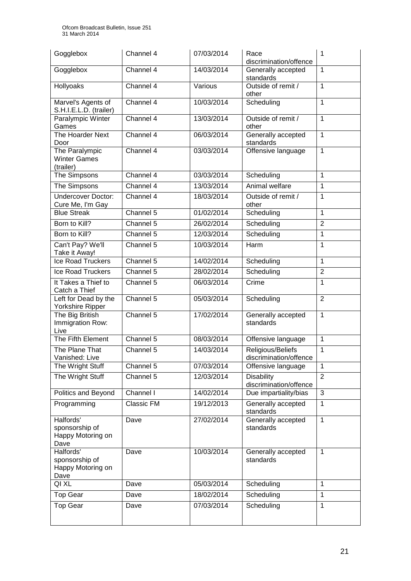| Gogglebox                                                | Channel 4  | 07/03/2014 | Race<br>discrimination/offence              | 1              |
|----------------------------------------------------------|------------|------------|---------------------------------------------|----------------|
| Gogglebox                                                | Channel 4  | 14/03/2014 | Generally accepted<br>standards             | 1              |
| Hollyoaks                                                | Channel 4  | Various    | Outside of remit /<br>other                 | $\mathbf{1}$   |
| Marvel's Agents of<br>S.H.I.E.L.D. (trailer)             | Channel 4  | 10/03/2014 | Scheduling                                  | $\mathbf{1}$   |
| Paralympic Winter<br>Games                               | Channel 4  | 13/03/2014 | Outside of remit /<br>other                 | 1              |
| The Hoarder Next<br>Door                                 | Channel 4  | 06/03/2014 | Generally accepted<br>standards             | $\mathbf{1}$   |
| The Paralympic<br><b>Winter Games</b><br>(trailer)       | Channel 4  | 03/03/2014 | Offensive language                          | $\mathbf{1}$   |
| The Simpsons                                             | Channel 4  | 03/03/2014 | Scheduling                                  | 1              |
| The Simpsons                                             | Channel 4  | 13/03/2014 | Animal welfare                              | 1              |
| <b>Undercover Doctor:</b><br>Cure Me, I'm Gay            | Channel 4  | 18/03/2014 | Outside of remit /<br>other                 | 1              |
| <b>Blue Streak</b>                                       | Channel 5  | 01/02/2014 | Scheduling                                  | $\mathbf{1}$   |
| Born to Kill?                                            | Channel 5  | 26/02/2014 | Scheduling                                  | $\overline{2}$ |
| Born to Kill?                                            | Channel 5  | 12/03/2014 | Scheduling                                  | 1              |
| Can't Pay? We'll<br>Take it Away!                        | Channel 5  | 10/03/2014 | Harm                                        | 1              |
| Ice Road Truckers                                        | Channel 5  | 14/02/2014 | Scheduling                                  | $\mathbf{1}$   |
| Ice Road Truckers                                        | Channel 5  | 28/02/2014 | Scheduling                                  | $\overline{2}$ |
| It Takes a Thief to<br>Catch a Thief                     | Channel 5  | 06/03/2014 | Crime                                       | 1              |
| Left for Dead by the<br>Yorkshire Ripper                 | Channel 5  | 05/03/2014 | Scheduling                                  | $\overline{2}$ |
| The Big British<br>Immigration Row:<br>Live              | Channel 5  | 17/02/2014 | Generally accepted<br>standards             | $\mathbf{1}$   |
| The Fifth Element                                        | Channel 5  | 08/03/2014 | Offensive language                          | $\mathbf{1}$   |
| The Plane That<br>Vanished: Live                         | Channel 5  | 14/03/2014 | Religious/Beliefs<br>discrimination/offence | 1              |
| The Wright Stuff                                         | Channel 5  | 07/03/2014 | Offensive language                          | $\mathbf{1}$   |
| The Wright Stuff                                         | Channel 5  | 12/03/2014 | <b>Disability</b><br>discrimination/offence | $\overline{2}$ |
| Politics and Beyond                                      | Channel I  | 14/02/2014 | Due impartiality/bias                       | 3              |
| Programming                                              | Classic FM | 19/12/2013 | Generally accepted<br>standards             | 1              |
| Halfords'<br>sponsorship of<br>Happy Motoring on<br>Dave | Dave       | 27/02/2014 | Generally accepted<br>standards             | $\overline{1}$ |
| Halfords'<br>sponsorship of<br>Happy Motoring on<br>Dave | Dave       | 10/03/2014 | Generally accepted<br>standards             | $\mathbf{1}$   |
| QI XL                                                    | Dave       | 05/03/2014 | Scheduling                                  | $\mathbf{1}$   |
| <b>Top Gear</b>                                          | Dave       | 18/02/2014 | Scheduling                                  | $\mathbf{1}$   |
| <b>Top Gear</b>                                          | Dave       | 07/03/2014 | Scheduling                                  | $\mathbf{1}$   |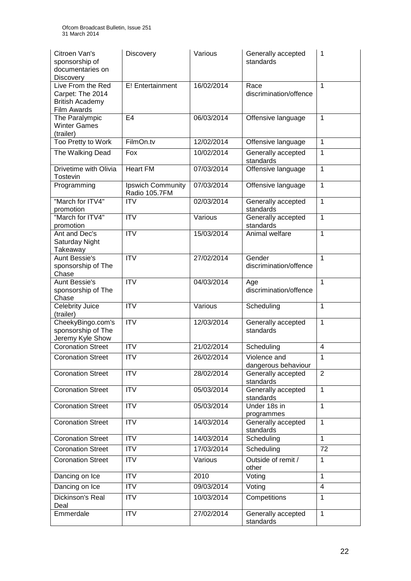| Citroen Van's<br>sponsorship of<br>documentaries on<br><b>Discovery</b>        | Discovery                                 | Various    | Generally accepted<br>standards     | 1              |
|--------------------------------------------------------------------------------|-------------------------------------------|------------|-------------------------------------|----------------|
| Live From the Red<br>Carpet: The 2014<br><b>British Academy</b><br>Film Awards | E! Entertainment                          | 16/02/2014 | Race<br>discrimination/offence      | 1              |
| The Paralympic<br><b>Winter Games</b><br>(trailer)                             | E <sub>4</sub>                            | 06/03/2014 | Offensive language                  | 1              |
| Too Pretty to Work                                                             | FilmOn.tv                                 | 12/02/2014 | Offensive language                  | 1              |
| The Walking Dead                                                               | Fox                                       | 10/02/2014 | Generally accepted<br>standards     | 1              |
| Drivetime with Olivia<br><b>Tostevin</b>                                       | <b>Heart FM</b>                           | 07/03/2014 | Offensive language                  | 1              |
| Programming                                                                    | <b>Ipswich Community</b><br>Radio 105.7FM | 07/03/2014 | Offensive language                  | 1              |
| "March for ITV4"<br>promotion                                                  | <b>ITV</b>                                | 02/03/2014 | Generally accepted<br>standards     | 1              |
| "March for ITV4"<br>promotion                                                  | $\overline{ITV}$                          | Various    | Generally accepted<br>standards     | 1              |
| Ant and Dec's<br>Saturday Night<br>Takeaway                                    | $\overline{ITV}$                          | 15/03/2014 | Animal welfare                      | 1              |
| <b>Aunt Bessie's</b><br>sponsorship of The<br>Chase                            | $\overline{\text{IV}}$                    | 27/02/2014 | Gender<br>discrimination/offence    | 1              |
| <b>Aunt Bessie's</b><br>sponsorship of The<br>Chase                            | $\overline{\text{IV}}$                    | 04/03/2014 | Age<br>discrimination/offence       | $\mathbf{1}$   |
| Celebrity Juice<br>(trailer)                                                   | <b>ITV</b>                                | Various    | Scheduling                          | 1              |
| CheekyBingo.com's<br>sponsorship of The<br>Jeremy Kyle Show                    | <b>ITV</b>                                | 12/03/2014 | Generally accepted<br>standards     | 1              |
| <b>Coronation Street</b>                                                       | <b>ITV</b>                                | 21/02/2014 | Scheduling                          | 4              |
| <b>Coronation Street</b>                                                       | ITV                                       | 26/02/2014 | Violence and<br>dangerous behaviour | 1              |
| <b>Coronation Street</b>                                                       | <b>ITV</b>                                | 28/02/2014 | Generally accepted<br>standards     | 2              |
| <b>Coronation Street</b>                                                       | $\overline{IV}$                           | 05/03/2014 | Generally accepted<br>standards     | $\mathbf{1}$   |
| <b>Coronation Street</b>                                                       | <b>ITV</b>                                | 05/03/2014 | Under 18s in<br>programmes          | $\mathbf{1}$   |
| <b>Coronation Street</b>                                                       | <b>ITV</b>                                | 14/03/2014 | Generally accepted<br>standards     | $\mathbf{1}$   |
| <b>Coronation Street</b>                                                       | <b>ITV</b>                                | 14/03/2014 | Scheduling                          | $\mathbf{1}$   |
| <b>Coronation Street</b>                                                       | <b>ITV</b>                                | 17/03/2014 | Scheduling                          | 72             |
| <b>Coronation Street</b>                                                       | <b>ITV</b>                                | Various    | Outside of remit /<br>other         | 1              |
| Dancing on Ice                                                                 | <b>ITV</b>                                | 2010       | Voting                              | $\mathbf{1}$   |
| Dancing on Ice                                                                 | <b>ITV</b>                                | 09/03/2014 | Voting                              | $\overline{4}$ |
| Dickinson's Real<br>Deal                                                       | <b>ITV</b>                                | 10/03/2014 | Competitions                        | $\mathbf{1}$   |
| Emmerdale                                                                      | <b>ITV</b>                                | 27/02/2014 | Generally accepted<br>standards     | $\mathbf{1}$   |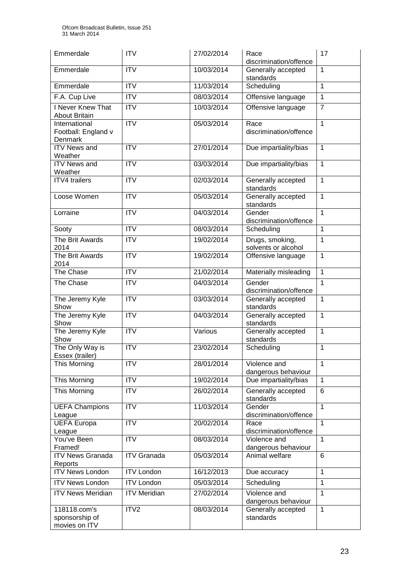| Emmerdale                                       | <b>ITV</b>             | 27/02/2014 | Race<br>discrimination/offence         | 17             |
|-------------------------------------------------|------------------------|------------|----------------------------------------|----------------|
| Emmerdale                                       | <b>ITV</b>             | 10/03/2014 | Generally accepted<br>standards        | $\mathbf{1}$   |
| Emmerdale                                       | $\overline{IV}$        | 11/03/2014 | Scheduling                             | $\mathbf{1}$   |
| F.A. Cup Live                                   | <b>ITV</b>             | 08/03/2014 | Offensive language                     | $\mathbf{1}$   |
| I Never Knew That<br><b>About Britain</b>       | <b>ITV</b>             | 10/03/2014 | Offensive language                     | $\overline{7}$ |
| International<br>Football: England v<br>Denmark | <b>ITV</b>             | 05/03/2014 | Race<br>discrimination/offence         | $\mathbf{1}$   |
| <b>ITV News and</b><br>Weather                  | <b>ITV</b>             | 27/01/2014 | Due impartiality/bias                  | $\mathbf{1}$   |
| <b>ITV News and</b><br>Weather                  | <b>ITV</b>             | 03/03/2014 | Due impartiality/bias                  | $\mathbf{1}$   |
| <b>ITV4</b> trailers                            | ITV                    | 02/03/2014 | Generally accepted<br>standards        | $\mathbf{1}$   |
| Loose Women                                     | $\overline{\text{TV}}$ | 05/03/2014 | Generally accepted<br>standards        | $\mathbf{1}$   |
| Lorraine                                        | $\overline{\text{TV}}$ | 04/03/2014 | Gender<br>discrimination/offence       | $\mathbf{1}$   |
| Sooty                                           | $\overline{IV}$        | 08/03/2014 | Scheduling                             | $\mathbf{1}$   |
| The Brit Awards<br>2014                         | <b>ITV</b>             | 19/02/2014 | Drugs, smoking,<br>solvents or alcohol | $\mathbf{1}$   |
| The Brit Awards<br>2014                         | $\overline{IV}$        | 19/02/2014 | Offensive language                     | $\mathbf{1}$   |
| The Chase                                       | $\overline{IV}$        | 21/02/2014 | Materially misleading                  | $\overline{1}$ |
| The Chase                                       | <b>ITV</b>             | 04/03/2014 | Gender<br>discrimination/offence       | $\mathbf{1}$   |
| The Jeremy Kyle<br>Show                         | ITV                    | 03/03/2014 | Generally accepted<br>standards        | $\mathbf{1}$   |
| The Jeremy Kyle<br>Show                         | <b>ITV</b>             | 04/03/2014 | Generally accepted<br>standards        | $\overline{1}$ |
| The Jeremy Kyle<br>Show                         | <b>ITV</b>             | Various    | Generally accepted<br>standards        | $\mathbf{1}$   |
| The Only Way is<br>Essex (trailer)              | <b>ITV</b>             | 23/02/2014 | Scheduling                             | 1              |
| This Morning                                    | <b>ITV</b>             | 28/01/2014 | Violence and<br>dangerous behaviour    | $\mathbf{1}$   |
| This Morning                                    | <b>ITV</b>             | 19/02/2014 | Due impartiality/bias                  | $\mathbf{1}$   |
| This Morning                                    | $\overline{IV}$        | 26/02/2014 | Generally accepted<br>standards        | 6              |
| <b>UEFA Champions</b><br>League                 | <b>ITV</b>             | 11/03/2014 | Gender<br>discrimination/offence       | $\mathbf{1}$   |
| <b>UEFA Europa</b><br>League                    | <b>ITV</b>             | 20/02/2014 | Race<br>discrimination/offence         | $\mathbf{1}$   |
| You've Been<br>Framed!                          | <b>ITV</b>             | 08/03/2014 | Violence and<br>dangerous behaviour    | $\mathbf{1}$   |
| <b>ITV News Granada</b><br>Reports              | <b>ITV Granada</b>     | 05/03/2014 | Animal welfare                         | 6              |
| <b>ITV News London</b>                          | <b>ITV London</b>      | 16/12/2013 | Due accuracy                           | $\mathbf{1}$   |
| <b>ITV News London</b>                          | <b>ITV London</b>      | 05/03/2014 | Scheduling                             | $\mathbf{1}$   |
| <b>ITV News Meridian</b>                        | <b>ITV Meridian</b>    | 27/02/2014 | Violence and<br>dangerous behaviour    | $\mathbf{1}$   |
| 118118.com's<br>sponsorship of<br>movies on ITV | ITV2                   | 08/03/2014 | Generally accepted<br>standards        | $\mathbf{1}$   |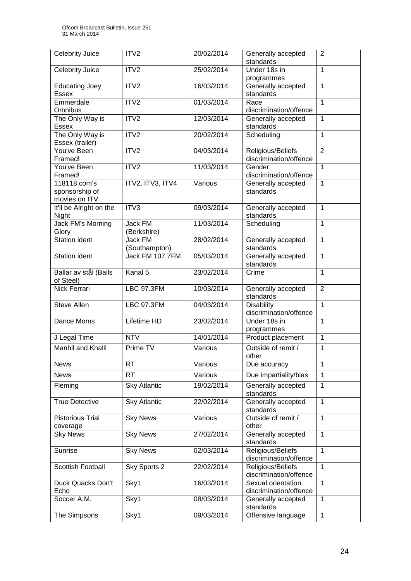| <b>Celebrity Juice</b>                          | ITV2                     | 20/02/2014               | Generally accepted<br>standards                       | 2                 |
|-------------------------------------------------|--------------------------|--------------------------|-------------------------------------------------------|-------------------|
| <b>Celebrity Juice</b>                          | ITV2                     | 25/02/2014               | Under 18s in<br>programmes                            | 1                 |
| <b>Educating Joey</b><br><b>Essex</b>           | ITV2                     | 16/03/2014               | Generally accepted<br>standards                       | $\mathbf{1}$      |
| Emmerdale<br>Omnibus                            | ITV2                     | 01/03/2014               | Race<br>discrimination/offence                        | 1                 |
| The Only Way is<br><b>Essex</b>                 | ITV2                     | 12/03/2014               | Generally accepted<br>standards                       | 1                 |
| The Only Way is<br>Essex (trailer)              | ITV2                     | 20/02/2014               | Scheduling                                            | 1                 |
| You've Been<br>Framed!                          | ITV2                     | 04/03/2014               | Religious/Beliefs<br>discrimination/offence           | $\overline{2}$    |
| You've Been<br>Framed!                          | ITV2                     | 11/03/2014               | Gender<br>discrimination/offence                      | 1                 |
| 118118.com's<br>sponsorship of<br>movies on ITV | ITV2, ITV3, ITV4         | Various                  | Generally accepted<br>standards                       | 1                 |
| It'll be Alright on the<br>Night                | ITV <sub>3</sub>         | 09/03/2014               | Generally accepted<br>standards                       | 1                 |
| <b>Jack FM's Morning</b><br>Glory               | Jack FM<br>(Berkshire)   | 11/03/2014               | Scheduling                                            | $\mathbf{1}$      |
| <b>Station ident</b>                            | Jack FM<br>(Southampton) | 28/02/2014               | Generally accepted<br>standards                       | 1                 |
| Station ident                                   | Jack FM 107.7FM          | 05/03/2014               | Generally accepted<br>standards                       | $\mathbf{1}$      |
| Ballar av stål (Balls<br>of Steel)              | Kanal 5                  | 23/02/2014               | Crime                                                 | $\mathbf{1}$      |
| Nick Ferrari                                    | <b>LBC 97.3FM</b>        | 10/03/2014               | Generally accepted<br>standards                       | $\overline{2}$    |
| <b>Steve Allen</b>                              | <b>LBC 97.3FM</b>        | 04/03/2014               | <b>Disability</b><br>discrimination/offence           | $\mathbf{1}$      |
| Dance Moms                                      | Lifetime HD              | 23/02/2014               | Under 18s in<br>programmes                            | 1                 |
| J Legal Time                                    | <b>NTV</b>               | 14/01/2014               | Product placement                                     | 1                 |
| Manhil and Khalil                               | Prime TV                 | Various                  | Outside of remit /<br>other                           | 1                 |
| <b>News</b>                                     | RT.                      | Various                  | Due accuracy                                          | 1                 |
| <b>News</b>                                     | <b>RT</b>                | Various                  | Due impartiality/bias                                 | 1                 |
| Fleming                                         | <b>Sky Atlantic</b>      | 19/02/2014               | Generally accepted<br>standards                       | 1                 |
| <b>True Detective</b>                           | <b>Sky Atlantic</b>      | 22/02/2014               |                                                       |                   |
| <b>Pistorious Trial</b><br>coverage             |                          |                          | Generally accepted<br>standards                       | 1                 |
|                                                 | <b>Sky News</b>          | Various                  | Outside of remit /<br>other                           | $\mathbf{1}$      |
| <b>Sky News</b>                                 | <b>Sky News</b>          | 27/02/2014               | Generally accepted<br>standards                       | $\mathbf{1}$      |
| Sunrise                                         | <b>Sky News</b>          | 02/03/2014               | Religious/Beliefs<br>discrimination/offence           | 1                 |
| <b>Scottish Football</b>                        | Sky Sports 2             | 22/02/2014               | Religious/Beliefs<br>discrimination/offence           | 1                 |
| Duck Quacks Don't<br>Echo                       | Sky1                     | 16/03/2014               | Sexual orientation<br>discrimination/offence          | 1                 |
| Soccer A.M.<br>The Simpsons                     | Sky1<br>Sky1             | 08/03/2014<br>09/03/2014 | Generally accepted<br>standards<br>Offensive language | 1<br>$\mathbf{1}$ |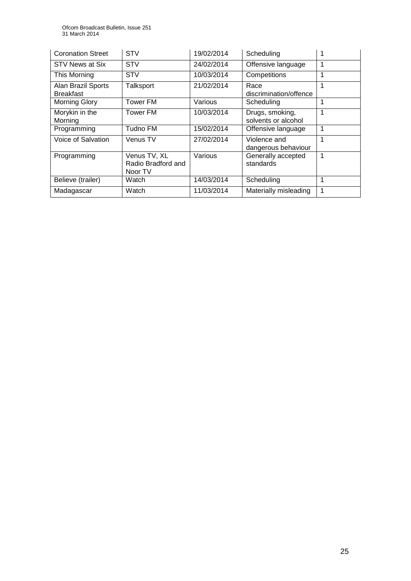| <b>Coronation Street</b>               | <b>STV</b>                                    | 19/02/2014 | Scheduling                             |   |
|----------------------------------------|-----------------------------------------------|------------|----------------------------------------|---|
| STV News at Six                        | <b>STV</b>                                    | 24/02/2014 | Offensive language                     |   |
| This Morning                           | <b>STV</b>                                    | 10/03/2014 | Competitions                           |   |
| Alan Brazil Sports<br><b>Breakfast</b> | Talksport                                     | 21/02/2014 | Race<br>discrimination/offence         |   |
| Morning Glory                          | Tower FM                                      | Various    | Scheduling                             |   |
| Morykin in the<br>Morning              | <b>Tower FM</b>                               | 10/03/2014 | Drugs, smoking,<br>solvents or alcohol |   |
| Programming                            | Tudno FM                                      | 15/02/2014 | Offensive language                     |   |
| Voice of Salvation                     | Venus TV                                      | 27/02/2014 | Violence and<br>dangerous behaviour    |   |
| Programming                            | Venus TV, XL<br>Radio Bradford and<br>Noor TV | Various    | Generally accepted<br>standards        | 1 |
| Believe (trailer)                      | Watch                                         | 14/03/2014 | Scheduling                             |   |
| Madagascar                             | Watch                                         | 11/03/2014 | Materially misleading                  |   |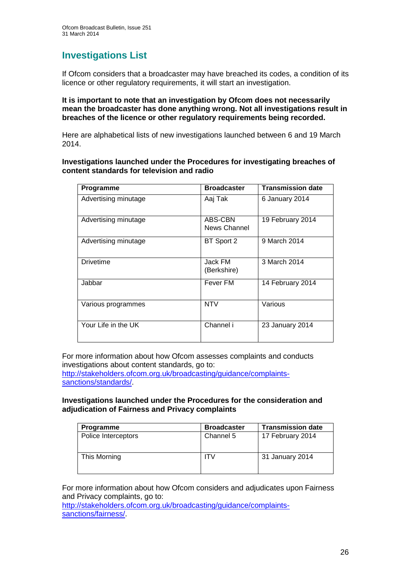## **Investigations List**

If Ofcom considers that a broadcaster may have breached its codes, a condition of its licence or other regulatory requirements, it will start an investigation.

**It is important to note that an investigation by Ofcom does not necessarily mean the broadcaster has done anything wrong. Not all investigations result in breaches of the licence or other regulatory requirements being recorded.**

Here are alphabetical lists of new investigations launched between 6 and 19 March 2014.

**Investigations launched under the Procedures for investigating breaches of content standards for television and radio**

| Programme            | <b>Broadcaster</b>      | <b>Transmission date</b> |
|----------------------|-------------------------|--------------------------|
| Advertising minutage | Aaj Tak                 | 6 January 2014           |
| Advertising minutage | ABS-CBN<br>News Channel | 19 February 2014         |
| Advertising minutage | BT Sport 2              | 9 March 2014             |
| <b>Drivetime</b>     | Jack FM<br>(Berkshire)  | 3 March 2014             |
| Jabbar               | Fever FM                | 14 February 2014         |
| Various programmes   | <b>NTV</b>              | Various                  |
| Your Life in the UK  | Channel i               | 23 January 2014          |

For more information about how Ofcom assesses complaints and conducts investigations about content standards, go to:

[http://stakeholders.ofcom.org.uk/broadcasting/guidance/complaints](http://stakeholders.ofcom.org.uk/broadcasting/guidance/complaints-sanctions/standards/)[sanctions/standards/.](http://stakeholders.ofcom.org.uk/broadcasting/guidance/complaints-sanctions/standards/)

#### **Investigations launched under the Procedures for the consideration and adjudication of Fairness and Privacy complaints**

| Programme           | <b>Broadcaster</b> | <b>Transmission date</b> |
|---------------------|--------------------|--------------------------|
| Police Interceptors | Channel 5          | 17 February 2014         |
| This Morning        | ITV                | 31 January 2014          |

For more information about how Ofcom considers and adjudicates upon Fairness and Privacy complaints, go to:

[http://stakeholders.ofcom.org.uk/broadcasting/guidance/complaints](http://stakeholders.ofcom.org.uk/broadcasting/guidance/complaints-sanctions/fairness/)[sanctions/fairness/.](http://stakeholders.ofcom.org.uk/broadcasting/guidance/complaints-sanctions/fairness/)